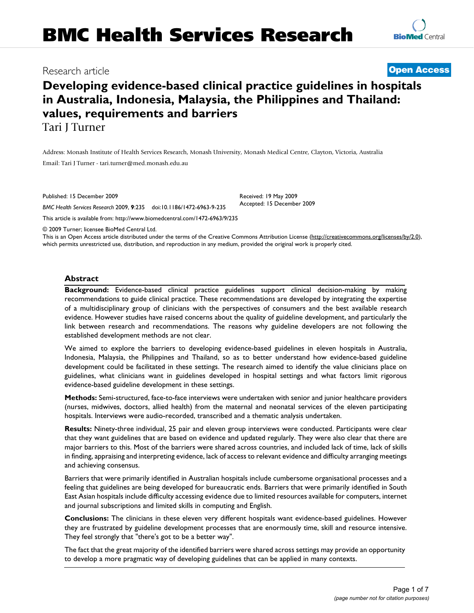# Research article **[Open Access](http://www.biomedcentral.com/info/about/charter/)**

**Developing evidence-based clinical practice guidelines in hospitals in Australia, Indonesia, Malaysia, the Philippines and Thailand: values, requirements and barriers** Tari J Turner

Address: Monash Institute of Health Services Research, Monash University, Monash Medical Centre, Clayton, Victoria, Australia

Email: Tari J Turner - tari.turner@med.monash.edu.au

Published: 15 December 2009

*BMC Health Services Research* 2009, **9**:235 doi:10.1186/1472-6963-9-235

[This article is available from: http://www.biomedcentral.com/1472-6963/9/235](http://www.biomedcentral.com/1472-6963/9/235)

© 2009 Turner; licensee BioMed Central Ltd.

This is an Open Access article distributed under the terms of the Creative Commons Attribution License [\(http://creativecommons.org/licenses/by/2.0\)](http://creativecommons.org/licenses/by/2.0), which permits unrestricted use, distribution, and reproduction in any medium, provided the original work is properly cited.

Received: 19 May 2009 Accepted: 15 December 2009

## **Abstract**

**Background:** Evidence-based clinical practice guidelines support clinical decision-making by making recommendations to guide clinical practice. These recommendations are developed by integrating the expertise of a multidisciplinary group of clinicians with the perspectives of consumers and the best available research evidence. However studies have raised concerns about the quality of guideline development, and particularly the link between research and recommendations. The reasons why guideline developers are not following the established development methods are not clear.

We aimed to explore the barriers to developing evidence-based guidelines in eleven hospitals in Australia, Indonesia, Malaysia, the Philippines and Thailand, so as to better understand how evidence-based guideline development could be facilitated in these settings. The research aimed to identify the value clinicians place on guidelines, what clinicians want in guidelines developed in hospital settings and what factors limit rigorous evidence-based guideline development in these settings.

**Methods:** Semi-structured, face-to-face interviews were undertaken with senior and junior healthcare providers (nurses, midwives, doctors, allied health) from the maternal and neonatal services of the eleven participating hospitals. Interviews were audio-recorded, transcribed and a thematic analysis undertaken.

**Results:** Ninety-three individual, 25 pair and eleven group interviews were conducted. Participants were clear that they want guidelines that are based on evidence and updated regularly. They were also clear that there are major barriers to this. Most of the barriers were shared across countries, and included lack of time, lack of skills in finding, appraising and interpreting evidence, lack of access to relevant evidence and difficulty arranging meetings and achieving consensus.

Barriers that were primarily identified in Australian hospitals include cumbersome organisational processes and a feeling that guidelines are being developed for bureaucratic ends. Barriers that were primarily identified in South East Asian hospitals include difficulty accessing evidence due to limited resources available for computers, internet and journal subscriptions and limited skills in computing and English.

**Conclusions:** The clinicians in these eleven very different hospitals want evidence-based guidelines. However they are frustrated by guideline development processes that are enormously time, skill and resource intensive. They feel strongly that "there's got to be a better way".

The fact that the great majority of the identified barriers were shared across settings may provide an opportunity to develop a more pragmatic way of developing guidelines that can be applied in many contexts.

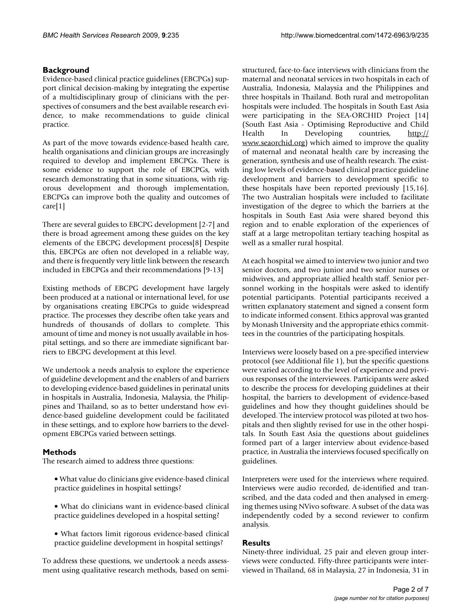# **Background**

Evidence-based clinical practice guidelines (EBCPGs) support clinical decision-making by integrating the expertise of a multidisciplinary group of clinicians with the perspectives of consumers and the best available research evidence, to make recommendations to guide clinical practice.

As part of the move towards evidence-based health care, health organisations and clinician groups are increasingly required to develop and implement EBCPGs. There is some evidence to support the role of EBCPGs, with research demonstrating that in some situations, with rigorous development and thorough implementation, EBCPGs can improve both the quality and outcomes of care[1]

There are several guides to EBCPG development [2-7] and there is broad agreement among these guides on the key elements of the EBCPG development process[8] Despite this, EBCPGs are often not developed in a reliable way, and there is frequently very little link between the research included in EBCPGs and their recommendations [9-13]

Existing methods of EBCPG development have largely been produced at a national or international level, for use by organisations creating EBCPGs to guide widespread practice. The processes they describe often take years and hundreds of thousands of dollars to complete. This amount of time and money is not usually available in hospital settings, and so there are immediate significant barriers to EBCPG development at this level.

We undertook a needs analysis to explore the experience of guideline development and the enablers of and barriers to developing evidence-based guidelines in perinatal units in hospitals in Australia, Indonesia, Malaysia, the Philippines and Thailand, so as to better understand how evidence-based guideline development could be facilitated in these settings, and to explore how barriers to the development EBCPGs varied between settings.

# **Methods**

The research aimed to address three questions:

- What value do clinicians give evidence-based clinical practice guidelines in hospital settings?
- What do clinicians want in evidence-based clinical practice guidelines developed in a hospital setting?
- What factors limit rigorous evidence-based clinical practice guideline development in hospital settings?

To address these questions, we undertook a needs assessment using qualitative research methods, based on semistructured, face-to-face interviews with clinicians from the maternal and neonatal services in two hospitals in each of Australia, Indonesia, Malaysia and the Philippines and three hospitals in Thailand. Both rural and metropolitan hospitals were included. The hospitals in South East Asia were participating in the SEA-ORCHID Project [14] (South East Asia - Optimising Reproductive and Child Health In Developing countries, [http://](http://www.seaorchid.org) [www.seaorchid.org\)](http://www.seaorchid.org) which aimed to improve the quality of maternal and neonatal health care by increasing the generation, synthesis and use of health research. The existing low levels of evidence-based clinical practice guideline development and barriers to development specific to these hospitals have been reported previously [15,16]. The two Australian hospitals were included to facilitate investigation of the degree to which the barriers at the hospitals in South East Asia were shared beyond this region and to enable exploration of the experiences of staff at a large metropolitan tertiary teaching hospital as well as a smaller rural hospital.

At each hospital we aimed to interview two junior and two senior doctors, and two junior and two senior nurses or midwives, and appropriate allied health staff. Senior personnel working in the hospitals were asked to identify potential participants. Potential participants received a written explanatory statement and signed a consent form to indicate informed consent. Ethics approval was granted by Monash University and the appropriate ethics committees in the countries of the participating hospitals.

Interviews were loosely based on a pre-specified interview protocol (see Additional file 1), but the specific questions were varied according to the level of experience and previous responses of the interviewees. Participants were asked to describe the process for developing guidelines at their hospital, the barriers to development of evidence-based guidelines and how they thought guidelines should be developed. The interview protocol was piloted at two hospitals and then slightly revised for use in the other hospitals. In South East Asia the questions about guidelines formed part of a larger interview about evidence-based practice, in Australia the interviews focused specifically on guidelines.

Interpreters were used for the interviews where required. Interviews were audio recorded, de-identified and transcribed, and the data coded and then analysed in emerging themes using NVivo software. A subset of the data was independently coded by a second reviewer to confirm analysis.

# **Results**

Ninety-three individual, 25 pair and eleven group interviews were conducted. Fifty-three participants were interviewed in Thailand, 68 in Malaysia, 27 in Indonesia, 31 in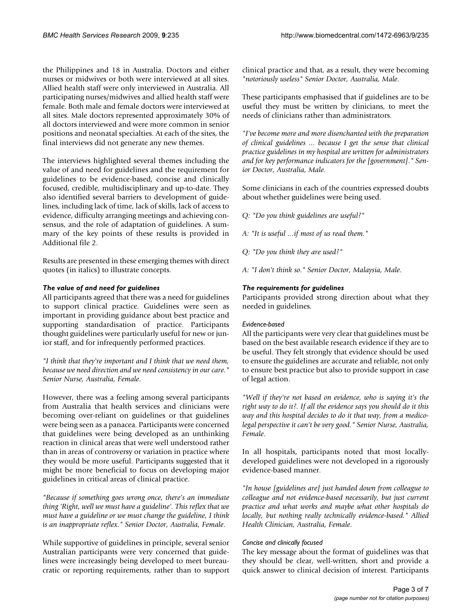the Philippines and 18 in Australia. Doctors and either nurses or midwives or both were interviewed at all sites. Allied health staff were only interviewed in Australia. All participating nurses/midwives and allied health staff were female. Both male and female doctors were interviewed at all sites. Male doctors represented approximately 30% of all doctors interviewed and were more common in senior positions and neonatal specialties. At each of the sites, the final interviews did not generate any new themes.

The interviews highlighted several themes including the value of and need for guidelines and the requirement for guidelines to be evidence-based, concise and clinically focused, credible, multidisciplinary and up-to-date. They also identified several barriers to development of guidelines, including lack of time, lack of skills, lack of access to evidence, difficulty arranging meetings and achieving consensus, and the role of adaptation of guidelines. A summary of the key points of these results is provided in Additional file 2.

Results are presented in these emerging themes with direct quotes (in italics) to illustrate concepts.

## *The value of and need for guidelines*

All participants agreed that there was a need for guidelines to support clinical practice. Guidelines were seen as important in providing guidance about best practice and supporting standardisation of practice. Participants thought guidelines were particularly useful for new or junior staff, and for infrequently performed practices.

*"I think that they're important and I think that we need them, because we need direction and we need consistency in our care." Senior Nurse, Australia, Female*.

However, there was a feeling among several participants from Australia that health services and clinicians were becoming over-reliant on guidelines or that guidelines were being seen as a panacea. Participants were concerned that guidelines were being developed as an unthinking reaction in clinical areas that were well understood rather than in areas of controversy or variation in practice where they would be more useful. Participants suggested that it might be more beneficial to focus on developing major guidelines in critical areas of clinical practice.

*"Because if something goes wrong once, there's an immediate thing 'Right, well we must have a guideline'. This reflex that we must have a guideline or we must change the guideline, I think is an inappropriate reflex." Senior Doctor, Australia, Female*.

While supportive of guidelines in principle, several senior Australian participants were very concerned that guidelines were increasingly being developed to meet bureaucratic or reporting requirements, rather than to support clinical practice and that, as a result, they were becoming *"notoriously useless" Senior Doctor, Australia, Male*.

These participants emphasised that if guidelines are to be useful they must be written by clinicians, to meet the needs of clinicians rather than administrators.

*"I've become more and more disenchanted with the preparation of clinical guidelines ... because I get the sense that clinical practice guidelines in my hospital are written for administrators and for key performance indicators for the [government]." Senior Doctor, Australia, Male*.

Some clinicians in each of the countries expressed doubts about whether guidelines were being used.

*Q: "Do you think guidelines are useful?"*

*A: "It is useful ...if most of us read them."*

*Q: "Do you think they are used?"*

*A: "I don't think so." Senior Doctor, Malaysia, Male*.

## *The requirements for guidelines*

Participants provided strong direction about what they needed in guidelines.

## *Evidence-based*

All the participants were very clear that guidelines must be based on the best available research evidence if they are to be useful. They felt strongly that evidence should be used to ensure the guidelines are accurate and reliable, not only to ensure best practice but also to provide support in case of legal action.

*"Well if they're not based on evidence, who is saying it's the right way to do it?. If all the evidence says you should do it this way and this hospital decides to do it that way, from a medicolegal perspective it can't be very good." Senior Nurse, Australia, Female*.

In all hospitals, participants noted that most locallydeveloped guidelines were not developed in a rigorously evidence-based manner.

*"In house [guidelines are] just handed down from colleague to colleague and not evidence-based necessarily, but just current practice and what works and maybe what other hospitals do locally, but nothing really technically evidence-based." Allied Health Clinician, Australia, Female*.

## *Concise and clinically focused*

The key message about the format of guidelines was that they should be clear, well-written, short and provide a quick answer to clinical decision of interest. Participants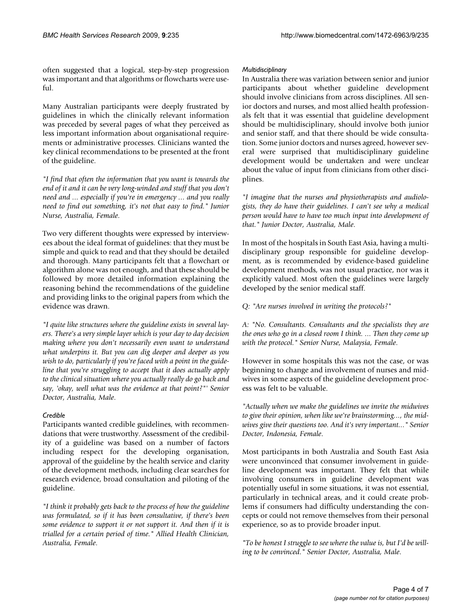often suggested that a logical, step-by-step progression was important and that algorithms or flowcharts were useful.

Many Australian participants were deeply frustrated by guidelines in which the clinically relevant information was preceded by several pages of what they perceived as less important information about organisational requirements or administrative processes. Clinicians wanted the key clinical recommendations to be presented at the front of the guideline.

*"I find that often the information that you want is towards the end of it and it can be very long-winded and stuff that you don't need and ... especially if you're in emergency ... and you really need to find out something, it's not that easy to find." Junior Nurse, Australia, Female*.

Two very different thoughts were expressed by interviewees about the ideal format of guidelines: that they must be simple and quick to read and that they should be detailed and thorough. Many participants felt that a flowchart or algorithm alone was not enough, and that these should be followed by more detailed information explaining the reasoning behind the recommendations of the guideline and providing links to the original papers from which the evidence was drawn.

*"I quite like structures where the guideline exists in several layers. There's a very simple layer which is your day to day decision making where you don't necessarily even want to understand what underpins it. But you can dig deeper and deeper as you wish to do, particularly if you're faced with a point in the guideline that you're struggling to accept that it does actually apply to the clinical situation where you actually really do go back and say, 'okay, well what was the evidence at that point?"' Senior Doctor, Australia, Male*.

## *Credible*

Participants wanted credible guidelines, with recommendations that were trustworthy. Assessment of the credibility of a guideline was based on a number of factors including respect for the developing organisation, approval of the guideline by the health service and clarity of the development methods, including clear searches for research evidence, broad consultation and piloting of the guideline.

*"I think it probably gets back to the process of how the guideline was formulated, so if it has been consultative, if there's been some evidence to support it or not support it. And then if it is trialled for a certain period of time." Allied Health Clinician, Australia, Female*.

#### *Multidisciplinary*

In Australia there was variation between senior and junior participants about whether guideline development should involve clinicians from across disciplines. All senior doctors and nurses, and most allied health professionals felt that it was essential that guideline development should be multidisciplinary, should involve both junior and senior staff, and that there should be wide consultation. Some junior doctors and nurses agreed, however several were surprised that multidisciplinary guideline development would be undertaken and were unclear about the value of input from clinicians from other disciplines.

*"I imagine that the nurses and physiotherapists and audiologists, they do have their guidelines. I can't see why a medical person would have to have too much input into development of that." Junior Doctor, Australia, Male*.

In most of the hospitals in South East Asia, having a multidisciplinary group responsible for guideline development, as is recommended by evidence-based guideline development methods, was not usual practice, nor was it explicitly valued. Most often the guidelines were largely developed by the senior medical staff.

*Q: "Are nurses involved in writing the protocols?"*

*A: "No. Consultants. Consultants and the specialists they are the ones who go in a closed room I think. ... Then they come up with the protocol." Senior Nurse, Malaysia, Female*.

However in some hospitals this was not the case, or was beginning to change and involvement of nurses and midwives in some aspects of the guideline development process was felt to be valuable.

*"Actually when we make the guidelines we invite the midwives to give their opinion, when like we're brainstorming..., the midwives give their questions too. And it's very important..." Senior Doctor, Indonesia, Female*.

Most participants in both Australia and South East Asia were unconvinced that consumer involvement in guideline development was important. They felt that while involving consumers in guideline development was potentially useful in some situations, it was not essential, particularly in technical areas, and it could create problems if consumers had difficulty understanding the concepts or could not remove themselves from their personal experience, so as to provide broader input.

*"To be honest I struggle to see where the value is, but I'd be willing to be convinced." Senior Doctor, Australia, Male*.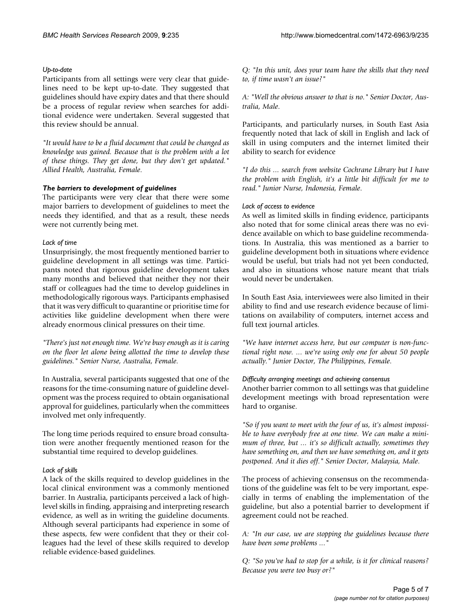#### *Up-to-date*

Participants from all settings were very clear that guidelines need to be kept up-to-date. They suggested that guidelines should have expiry dates and that there should be a process of regular review when searches for additional evidence were undertaken. Several suggested that this review should be annual.

*"It would have to be a fluid document that could be changed as knowledge was gained. Because that is the problem with a lot of these things. They get done, but they don't get updated." Allied Health, Australia, Female*.

#### *The barriers to development of guidelines*

The participants were very clear that there were some major barriers to development of guidelines to meet the needs they identified, and that as a result, these needs were not currently being met.

## *Lack of time*

Unsurprisingly, the most frequently mentioned barrier to guideline development in all settings was time. Participants noted that rigorous guideline development takes many months and believed that neither they nor their staff or colleagues had the time to develop guidelines in methodologically rigorous ways. Participants emphasised that it was very difficult to quarantine or prioritise time for activities like guideline development when there were already enormous clinical pressures on their time.

*"There's just not enough time. We're busy enough as it is caring on the floor let alone being allotted the time to develop these guidelines." Senior Nurse, Australia, Female*.

In Australia, several participants suggested that one of the reasons for the time-consuming nature of guideline development was the process required to obtain organisational approval for guidelines, particularly when the committees involved met only infrequently.

The long time periods required to ensure broad consultation were another frequently mentioned reason for the substantial time required to develop guidelines.

## *Lack of skills*

A lack of the skills required to develop guidelines in the local clinical environment was a commonly mentioned barrier. In Australia, participants perceived a lack of highlevel skills in finding, appraising and interpreting research evidence, as well as in writing the guideline documents. Although several participants had experience in some of these aspects, few were confident that they or their colleagues had the level of these skills required to develop reliable evidence-based guidelines.

*Q: "In this unit, does your team have the skills that they need to, if time wasn't an issue?"*

*A: "Well the obvious answer to that is no." Senior Doctor, Australia, Male*.

Participants, and particularly nurses, in South East Asia frequently noted that lack of skill in English and lack of skill in using computers and the internet limited their ability to search for evidence

*"I do this ... search from website Cochrane Library but I have the problem with English, it's a little bit difficult for me to read." Junior Nurse, Indonesia, Female*.

#### *Lack of access to evidence*

As well as limited skills in finding evidence, participants also noted that for some clinical areas there was no evidence available on which to base guideline recommendations. In Australia, this was mentioned as a barrier to guideline development both in situations where evidence would be useful, but trials had not yet been conducted, and also in situations whose nature meant that trials would never be undertaken.

In South East Asia, interviewees were also limited in their ability to find and use research evidence because of limitations on availability of computers, internet access and full text journal articles.

*"We have internet access here, but our computer is non-functional right now. ... we're using only one for about 50 people actually." Junior Doctor, The Philippines, Female*.

#### *Difficulty arranging meetings and achieving consensus*

Another barrier common to all settings was that guideline development meetings with broad representation were hard to organise.

*"So if you want to meet with the four of us, it's almost impossible to have everybody free at one time. We can make a minimum of three, but ... it's so difficult actually, sometimes they have something on, and then we have something on, and it gets postponed. And it dies off." Senior Doctor, Malaysia, Male*.

The process of achieving consensus on the recommendations of the guideline was felt to be very important, especially in terms of enabling the implementation of the guideline, but also a potential barrier to development if agreement could not be reached.

*A: "In our case, we are stopping the guidelines because there have been some problems ..."*

*Q: "So you've had to stop for a while, is it for clinical reasons? Because you were too busy or?"*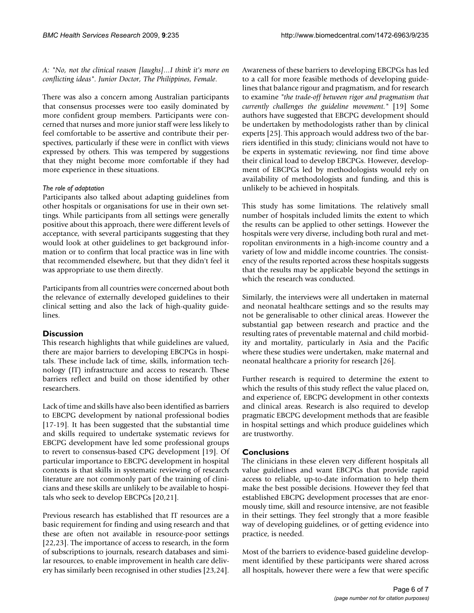*A: "No, not the clinical reason [laughs]...I think it's more on conflicting ideas". Junior Doctor, The Philippines, Female*.

There was also a concern among Australian participants that consensus processes were too easily dominated by more confident group members. Participants were concerned that nurses and more junior staff were less likely to feel comfortable to be assertive and contribute their perspectives, particularly if these were in conflict with views expressed by others. This was tempered by suggestions that they might become more comfortable if they had more experience in these situations.

#### *The role of adaptation*

Participants also talked about adapting guidelines from other hospitals or organisations for use in their own settings. While participants from all settings were generally positive about this approach, there were different levels of acceptance, with several participants suggesting that they would look at other guidelines to get background information or to confirm that local practice was in line with that recommended elsewhere, but that they didn't feel it was appropriate to use them directly.

Participants from all countries were concerned about both the relevance of externally developed guidelines to their clinical setting and also the lack of high-quality guidelines.

## **Discussion**

This research highlights that while guidelines are valued, there are major barriers to developing EBCPGs in hospitals. These include lack of time, skills, information technology (IT) infrastructure and access to research. These barriers reflect and build on those identified by other researchers.

Lack of time and skills have also been identified as barriers to EBCPG development by national professional bodies [17-19]. It has been suggested that the substantial time and skills required to undertake systematic reviews for EBCPG development have led some professional groups to revert to consensus-based CPG development [19]. Of particular importance to EBCPG development in hospital contexts is that skills in systematic reviewing of research literature are not commonly part of the training of clinicians and these skills are unlikely to be available to hospitals who seek to develop EBCPGs [20,21].

Previous research has established that IT resources are a basic requirement for finding and using research and that these are often not available in resource-poor settings [22,23]. The importance of access to research, in the form of subscriptions to journals, research databases and similar resources, to enable improvement in health care delivery has similarly been recognised in other studies [23,24].

Awareness of these barriers to developing EBCPGs has led to a call for more feasible methods of developing guidelines that balance rigour and pragmatism, and for research to examine *"the trade-off between rigor and pragmatism that currently challenges the guideline movement."* [19] Some authors have suggested that EBCPG development should be undertaken by methodologists rather than by clinical experts [25]. This approach would address two of the barriers identified in this study; clinicians would not have to be experts in systematic reviewing, nor find time above their clinical load to develop EBCPGs. However, development of EBCPGs led by methodologists would rely on availability of methodologists and funding, and this is unlikely to be achieved in hospitals.

This study has some limitations. The relatively small number of hospitals included limits the extent to which the results can be applied to other settings. However the hospitals were very diverse, including both rural and metropolitan environments in a high-income country and a variety of low and middle income countries. The consistency of the results reported across these hospitals suggests that the results may be applicable beyond the settings in which the research was conducted.

Similarly, the interviews were all undertaken in maternal and neonatal healthcare settings and so the results may not be generalisable to other clinical areas. However the substantial gap between research and practice and the resulting rates of preventable maternal and child morbidity and mortality, particularly in Asia and the Pacific where these studies were undertaken, make maternal and neonatal healthcare a priority for research [26].

Further research is required to determine the extent to which the results of this study reflect the value placed on, and experience of, EBCPG development in other contexts and clinical areas. Research is also required to develop pragmatic EBCPG development methods that are feasible in hospital settings and which produce guidelines which are trustworthy.

# **Conclusions**

The clinicians in these eleven very different hospitals all value guidelines and want EBCPGs that provide rapid access to reliable, up-to-date information to help them make the best possible decisions. However they feel that established EBCPG development processes that are enormously time, skill and resource intensive, are not feasible in their settings. They feel strongly that a more feasible way of developing guidelines, or of getting evidence into practice, is needed.

Most of the barriers to evidence-based guideline development identified by these participants were shared across all hospitals, however there were a few that were specific